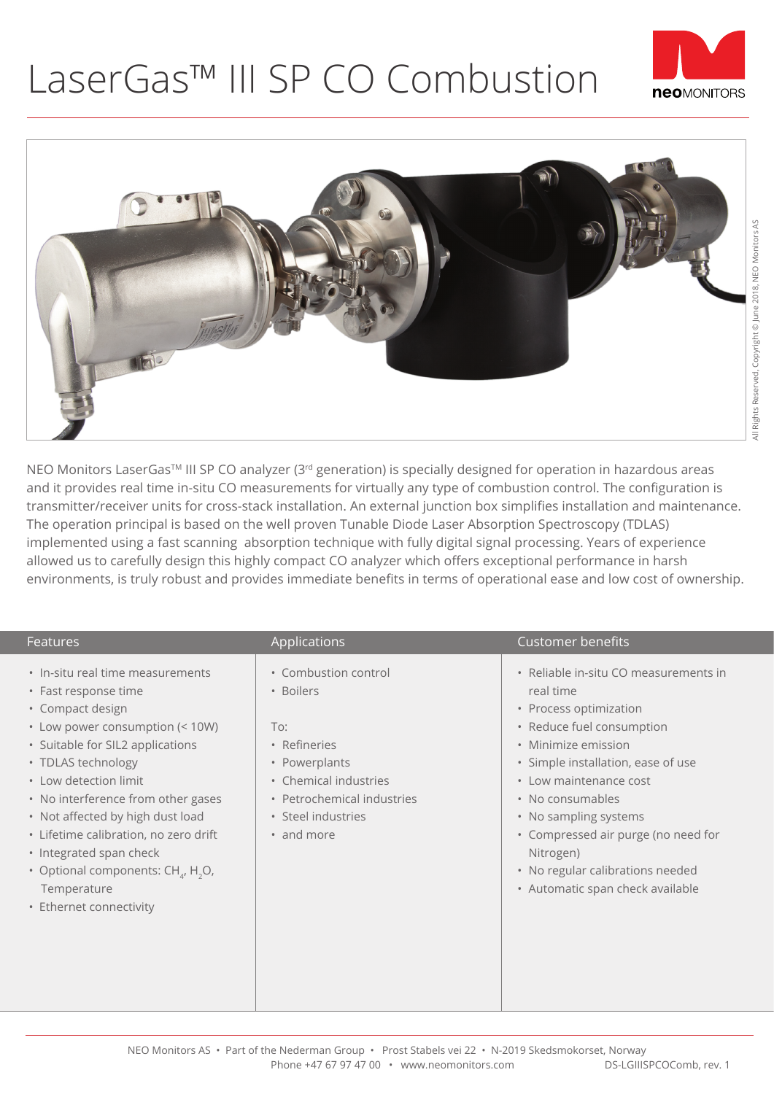# LaserGas™ III SP CO Combustion





NEO Monitors LaserGas<sup>™</sup> III SP CO analyzer (3<sup>rd</sup> generation) is specially designed for operation in hazardous areas and it provides real time in-situ CO measurements for virtually any type of combustion control. The configuration is transmitter/receiver units for cross-stack installation. An external junction box simplifies installation and maintenance. The operation principal is based on the well proven Tunable Diode Laser Absorption Spectroscopy (TDLAS) implemented using a fast scanning absorption technique with fully digital signal processing. Years of experience allowed us to carefully design this highly compact CO analyzer which offers exceptional performance in harsh environments, is truly robust and provides immediate benefits in terms of operational ease and low cost of ownership.

| <b>Features</b>                                                                                                                                                                                                                                                                                                                                                                                                                                 | Applications                                                                                                                                                         | Customer benefits                                                                                                                                                                                                                                                                                                                                                         |
|-------------------------------------------------------------------------------------------------------------------------------------------------------------------------------------------------------------------------------------------------------------------------------------------------------------------------------------------------------------------------------------------------------------------------------------------------|----------------------------------------------------------------------------------------------------------------------------------------------------------------------|---------------------------------------------------------------------------------------------------------------------------------------------------------------------------------------------------------------------------------------------------------------------------------------------------------------------------------------------------------------------------|
| . In-situ real time measurements<br>• Fast response time<br>• Compact design<br>• Low power consumption (< 10W)<br>• Suitable for SIL2 applications<br>• TDLAS technology<br>• Low detection limit<br>• No interference from other gases<br>• Not affected by high dust load<br>• Lifetime calibration, no zero drift<br>• Integrated span check<br>• Optional components: $CH_a$ , H <sub>2</sub> O,<br>Temperature<br>• Ethernet connectivity | • Combustion control<br>• Boilers<br>To:<br>• Refineries<br>• Powerplants<br>• Chemical industries<br>• Petrochemical industries<br>• Steel industries<br>• and more | • Reliable in-situ CO measurements in<br>real time<br>• Process optimization<br>• Reduce fuel consumption<br>• Minimize emission<br>· Simple installation, ease of use<br>• Low maintenance cost<br>• No consumables<br>• No sampling systems<br>• Compressed air purge (no need for<br>Nitrogen)<br>• No regular calibrations needed<br>• Automatic span check available |

NEO Monitors AS • Part of the Nederman Group • Prost Stabels vei 22 • N-2019 Skedsmokorset, Norway Phone +47 67 97 47 00 · www.neomonitors.com DS-LGIIISPCOComb, rev. 1